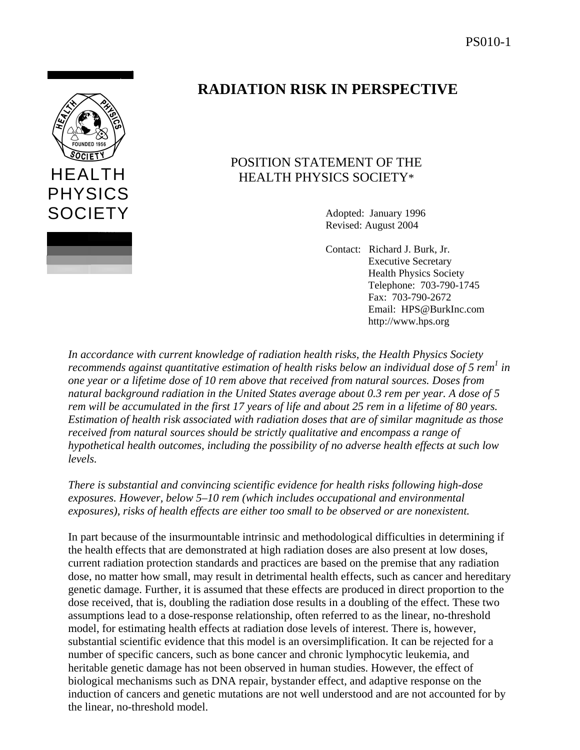

# **RADIATION RISK IN PERSPECTIVE**

# POSITION STATEMENT OF THE HEALTH PHYSICS SOCIETY\*

Adopted: January 1996 Revised: August 2004

Contact: Richard J. Burk, Jr. Executive Secretary Health Physics Society Telephone: 703-790-1745 Fax: 703-790-2672 Email: HPS@BurkInc.com http://www.hps.org

*In accordance with current knowledge of radiation health risks, the Health Physics Society recommends against quantitative estimation of health risks below an individual dose of 5 rem<sup>1</sup> in one year or a lifetime dose of 10 rem above that received from natural sources. Doses from natural background radiation in the United States average about 0.3 rem per year. A dose of 5 rem will be accumulated in the first 17 years of life and about 25 rem in a lifetime of 80 years. Estimation of health risk associated with radiation doses that are of similar magnitude as those received from natural sources should be strictly qualitative and encompass a range of hypothetical health outcomes, including the possibility of no adverse health effects at such low levels.* 

*There is substantial and convincing scientific evidence for health risks following high-dose exposures. However, below 5–10 rem (which includes occupational and environmental exposures), risks of health effects are either too small to be observed or are nonexistent.*

In part because of the insurmountable intrinsic and methodological difficulties in determining if the health effects that are demonstrated at high radiation doses are also present at low doses, current radiation protection standards and practices are based on the premise that any radiation dose, no matter how small, may result in detrimental health effects, such as cancer and hereditary genetic damage. Further, it is assumed that these effects are produced in direct proportion to the dose received, that is, doubling the radiation dose results in a doubling of the effect. These two assumptions lead to a dose-response relationship, often referred to as the linear, no-threshold model, for estimating health effects at radiation dose levels of interest. There is, however, substantial scientific evidence that this model is an oversimplification. It can be rejected for a number of specific cancers, such as bone cancer and chronic lymphocytic leukemia, and heritable genetic damage has not been observed in human studies. However, the effect of biological mechanisms such as DNA repair, bystander effect, and adaptive response on the induction of cancers and genetic mutations are not well understood and are not accounted for by the linear, no-threshold model.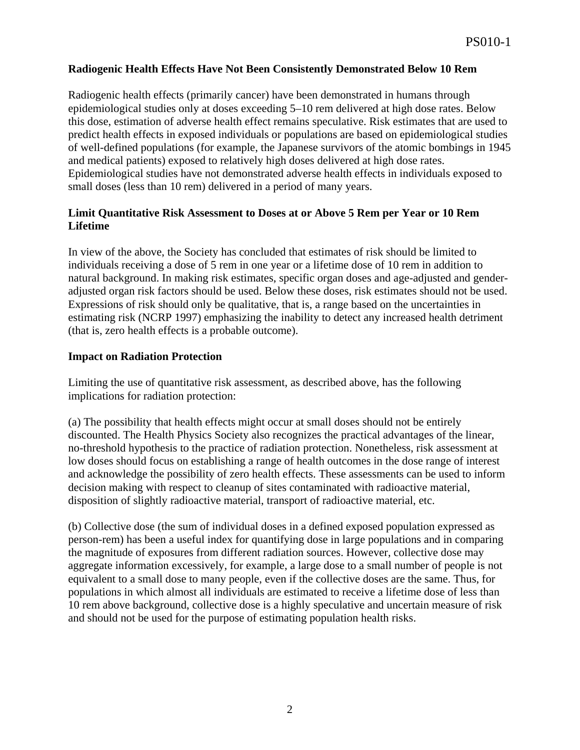## **Radiogenic Health Effects Have Not Been Consistently Demonstrated Below 10 Rem**

Radiogenic health effects (primarily cancer) have been demonstrated in humans through epidemiological studies only at doses exceeding 5–10 rem delivered at high dose rates. Below this dose, estimation of adverse health effect remains speculative. Risk estimates that are used to predict health effects in exposed individuals or populations are based on epidemiological studies of well-defined populations (for example, the Japanese survivors of the atomic bombings in 1945 and medical patients) exposed to relatively high doses delivered at high dose rates. Epidemiological studies have not demonstrated adverse health effects in individuals exposed to small doses (less than 10 rem) delivered in a period of many years.

## **Limit Quantitative Risk Assessment to Doses at or Above 5 Rem per Year or 10 Rem Lifetime**

In view of the above, the Society has concluded that estimates of risk should be limited to individuals receiving a dose of 5 rem in one year or a lifetime dose of 10 rem in addition to natural background. In making risk estimates, specific organ doses and age-adjusted and genderadjusted organ risk factors should be used. Below these doses, risk estimates should not be used. Expressions of risk should only be qualitative, that is, a range based on the uncertainties in estimating risk (NCRP 1997) emphasizing the inability to detect any increased health detriment (that is, zero health effects is a probable outcome).

#### **Impact on Radiation Protection**

Limiting the use of quantitative risk assessment, as described above, has the following implications for radiation protection:

(a) The possibility that health effects might occur at small doses should not be entirely discounted. The Health Physics Society also recognizes the practical advantages of the linear, no-threshold hypothesis to the practice of radiation protection. Nonetheless, risk assessment at low doses should focus on establishing a range of health outcomes in the dose range of interest and acknowledge the possibility of zero health effects. These assessments can be used to inform decision making with respect to cleanup of sites contaminated with radioactive material, disposition of slightly radioactive material, transport of radioactive material, etc.

(b) Collective dose (the sum of individual doses in a defined exposed population expressed as person-rem) has been a useful index for quantifying dose in large populations and in comparing the magnitude of exposures from different radiation sources. However, collective dose may aggregate information excessively, for example, a large dose to a small number of people is not equivalent to a small dose to many people, even if the collective doses are the same. Thus, for populations in which almost all individuals are estimated to receive a lifetime dose of less than 10 rem above background, collective dose is a highly speculative and uncertain measure of risk and should not be used for the purpose of estimating population health risks.